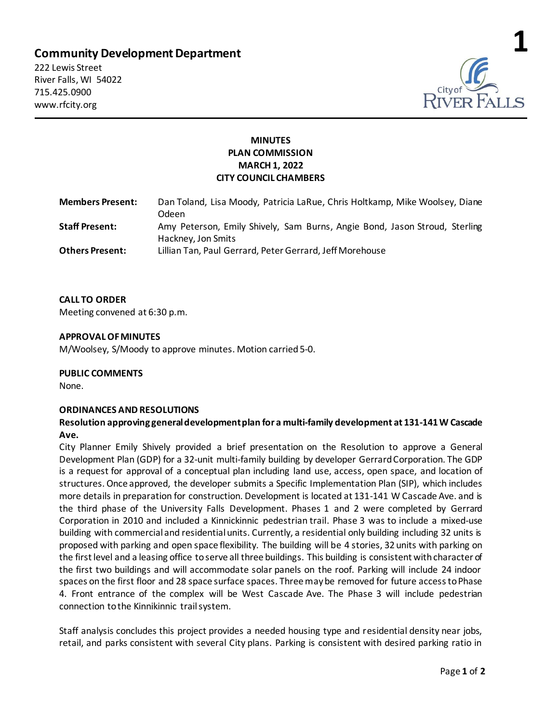# **Community Development Department**

222 Lewis Street River Falls, WI 54022 715.425.0900 www.rfcity.org



## **MINUTES PLAN COMMISSION MARCH 1, 2022 CITY COUNCIL CHAMBERS**

| <b>Members Present:</b> | Dan Toland, Lisa Moody, Patricia LaRue, Chris Holtkamp, Mike Woolsey, Diane<br>Odeen.            |
|-------------------------|--------------------------------------------------------------------------------------------------|
| <b>Staff Present:</b>   | Amy Peterson, Emily Shively, Sam Burns, Angie Bond, Jason Stroud, Sterling<br>Hackney, Jon Smits |
| <b>Others Present:</b>  | Lillian Tan, Paul Gerrard, Peter Gerrard, Jeff Morehouse                                         |

## **CALL TO ORDER**

Meeting convened at 6:30 p.m.

## **APPROVAL OF MINUTES**

M/Woolsey, S/Moody to approve minutes. Motion carried 5-0.

#### **PUBLIC COMMENTS**

None.

#### **ORDINANCES AND RESOLUTIONS**

## **Resolution approving general development plan for a multi-family development at 131-141 W Cascade Ave.**

City Planner Emily Shively provided a brief presentation on the Resolution to approve a General Development Plan (GDP) for a 32-unit multi-family building by developer Gerrard Corporation. The GDP is a request for approval of a conceptual plan including land use, access, open space, and location of structures. Once approved, the developer submits a Specific Implementation Plan (SIP), which includes more details in preparation for construction. Development is located at 131-141 W Cascade Ave. and is the third phase of the University Falls Development. Phases 1 and 2 were completed by Gerrard Corporation in 2010 and included a Kinnickinnic pedestrian trail. Phase 3 was to include a mixed-use building with commercial and residential units. Currently, a residential only building including 32 units is proposed with parking and open space flexibility. The building will be 4 stories, 32 units with parking on the first level and a leasing office to serve all three buildings. This building is consistent with character of the first two buildings and will accommodate solar panels on the roof. Parking will include 24 indoor spaces on the first floor and 28 space surface spaces. Three may be removed for future access to Phase 4. Front entrance of the complex will be West Cascade Ave. The Phase 3 will include pedestrian connection to the Kinnikinnic trail system.

Staff analysis concludes this project provides a needed housing type and residential density near jobs, retail, and parks consistent with several City plans. Parking is consistent with desired parking ratio in